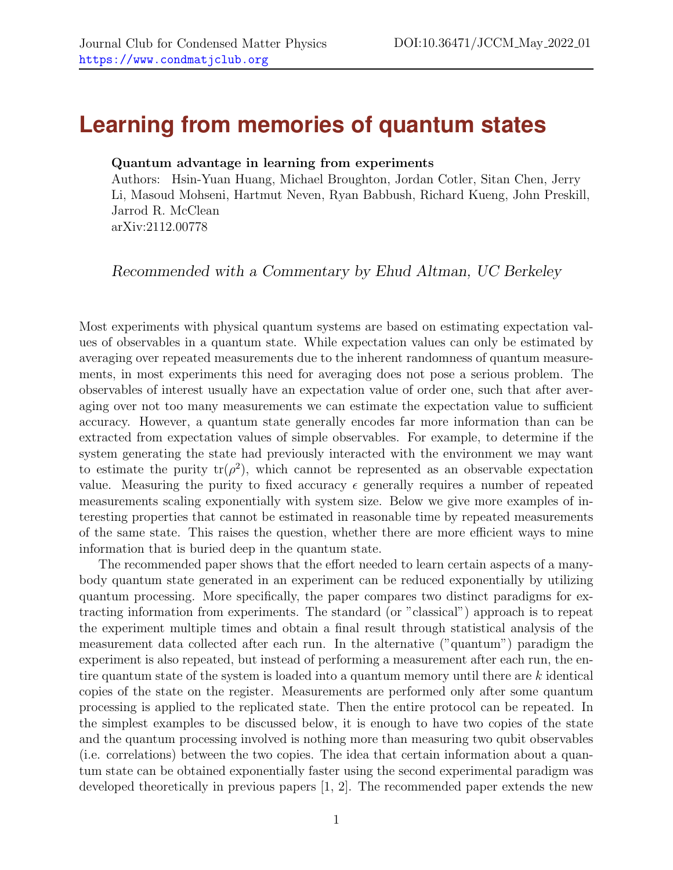## **Learning from memories of quantum states**

## Quantum advantage in learning from experiments

Authors: Hsin-Yuan Huang, Michael Broughton, Jordan Cotler, Sitan Chen, Jerry Li, Masoud Mohseni, Hartmut Neven, Ryan Babbush, Richard Kueng, John Preskill, Jarrod R. McClean arXiv:2112.00778

Recommended with a Commentary by Ehud Altman, UC Berkeley

Most experiments with physical quantum systems are based on estimating expectation values of observables in a quantum state. While expectation values can only be estimated by averaging over repeated measurements due to the inherent randomness of quantum measurements, in most experiments this need for averaging does not pose a serious problem. The observables of interest usually have an expectation value of order one, such that after averaging over not too many measurements we can estimate the expectation value to sufficient accuracy. However, a quantum state generally encodes far more information than can be extracted from expectation values of simple observables. For example, to determine if the system generating the state had previously interacted with the environment we may want to estimate the purity  $tr(\rho^2)$ , which cannot be represented as an observable expectation value. Measuring the purity to fixed accuracy  $\epsilon$  generally requires a number of repeated measurements scaling exponentially with system size. Below we give more examples of interesting properties that cannot be estimated in reasonable time by repeated measurements of the same state. This raises the question, whether there are more efficient ways to mine information that is buried deep in the quantum state.

The recommended paper shows that the effort needed to learn certain aspects of a manybody quantum state generated in an experiment can be reduced exponentially by utilizing quantum processing. More specifically, the paper compares two distinct paradigms for extracting information from experiments. The standard (or "classical") approach is to repeat the experiment multiple times and obtain a final result through statistical analysis of the measurement data collected after each run. In the alternative ("quantum") paradigm the experiment is also repeated, but instead of performing a measurement after each run, the entire quantum state of the system is loaded into a quantum memory until there are k identical copies of the state on the register. Measurements are performed only after some quantum processing is applied to the replicated state. Then the entire protocol can be repeated. In the simplest examples to be discussed below, it is enough to have two copies of the state and the quantum processing involved is nothing more than measuring two qubit observables (i.e. correlations) between the two copies. The idea that certain information about a quantum state can be obtained exponentially faster using the second experimental paradigm was developed theoretically in previous papers [\[1,](#page-2-0) [2\]](#page-2-1). The recommended paper extends the new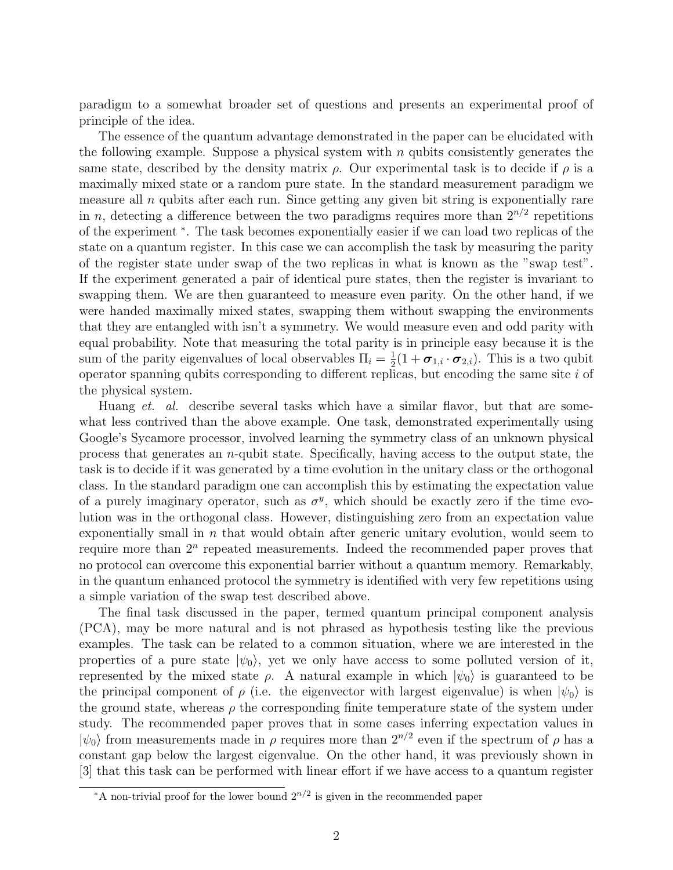paradigm to a somewhat broader set of questions and presents an experimental proof of principle of the idea.

The essence of the quantum advantage demonstrated in the paper can be elucidated with the following example. Suppose a physical system with  $n$  qubits consistently generates the same state, described by the density matrix  $\rho$ . Our experimental task is to decide if  $\rho$  is a maximally mixed state or a random pure state. In the standard measurement paradigm we measure all  $n$  qubits after each run. Since getting any given bit string is exponentially rare in n, detecting a difference between the two paradigms requires more than  $2^{n/2}$  repetitions of the experiment [∗](#page-1-0) . The task becomes exponentially easier if we can load two replicas of the state on a quantum register. In this case we can accomplish the task by measuring the parity of the register state under swap of the two replicas in what is known as the "swap test". If the experiment generated a pair of identical pure states, then the register is invariant to swapping them. We are then guaranteed to measure even parity. On the other hand, if we were handed maximally mixed states, swapping them without swapping the environments that they are entangled with isn't a symmetry. We would measure even and odd parity with equal probability. Note that measuring the total parity is in principle easy because it is the sum of the parity eigenvalues of local observables  $\Pi_i = \frac{1}{2}$  $\frac{1}{2}(1+\boldsymbol{\sigma}_{1,i}\cdot\boldsymbol{\sigma}_{2,i})$ . This is a two qubit operator spanning qubits corresponding to different replicas, but encoding the same site  $i$  of the physical system.

Huang *et. al.* describe several tasks which have a similar flavor, but that are somewhat less contrived than the above example. One task, demonstrated experimentally using Google's Sycamore processor, involved learning the symmetry class of an unknown physical process that generates an  $n$ -qubit state. Specifically, having access to the output state, the task is to decide if it was generated by a time evolution in the unitary class or the orthogonal class. In the standard paradigm one can accomplish this by estimating the expectation value of a purely imaginary operator, such as  $\sigma^y$ , which should be exactly zero if the time evolution was in the orthogonal class. However, distinguishing zero from an expectation value exponentially small in n that would obtain after generic unitary evolution, would seem to require more than  $2^n$  repeated measurements. Indeed the recommended paper proves that no protocol can overcome this exponential barrier without a quantum memory. Remarkably, in the quantum enhanced protocol the symmetry is identified with very few repetitions using a simple variation of the swap test described above.

The final task discussed in the paper, termed quantum principal component analysis (PCA), may be more natural and is not phrased as hypothesis testing like the previous examples. The task can be related to a common situation, where we are interested in the properties of a pure state  $|\psi_0\rangle$ , yet we only have access to some polluted version of it, represented by the mixed state  $\rho$ . A natural example in which  $|\psi_0\rangle$  is guaranteed to be the principal component of  $\rho$  (i.e. the eigenvector with largest eigenvalue) is when  $|\psi_0\rangle$  is the ground state, whereas  $\rho$  the corresponding finite temperature state of the system under study. The recommended paper proves that in some cases inferring expectation values in  $|\psi_0\rangle$  from measurements made in  $\rho$  requires more than  $2^{n/2}$  even if the spectrum of  $\rho$  has a constant gap below the largest eigenvalue. On the other hand, it was previously shown in [\[3\]](#page-2-2) that this task can be performed with linear effort if we have access to a quantum register

<span id="page-1-0"></span><sup>\*</sup>A non-trivial proof for the lower bound  $2^{n/2}$  is given in the recommended paper